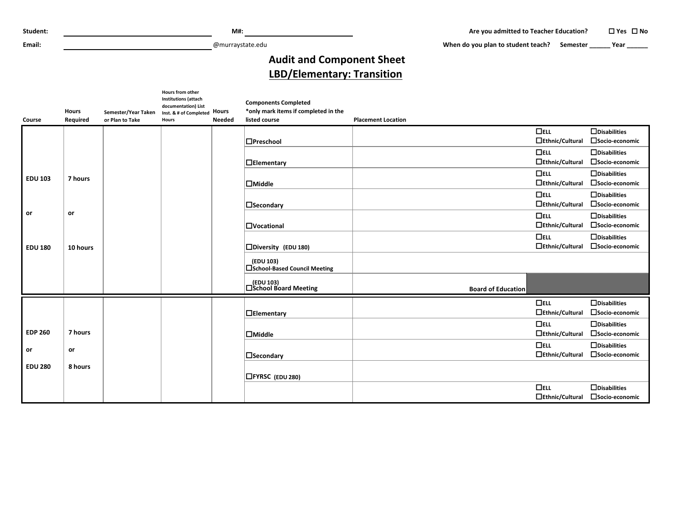**Email:** @murraystate.edu

When do you plan to student teach? Semester **\_\_\_\_\_\_** Year **\_\_\_\_\_** 

## **Audit and Component Sheet LBD/Elementary: Transition**

| <b>Course</b>  | <b>Hours</b><br>Required | Semester/Year Taken<br>or Plan to Take | Hours from other<br><b>Institutions (attach</b><br>documentation) List<br>Inst. & # of Completed Hours<br><b>Hours</b> | <b>Needed</b> | <b>Components Completed</b><br>*only mark items if completed in the<br>listed course | <b>Placement Location</b> |                                              |                                        |
|----------------|--------------------------|----------------------------------------|------------------------------------------------------------------------------------------------------------------------|---------------|--------------------------------------------------------------------------------------|---------------------------|----------------------------------------------|----------------------------------------|
|                |                          |                                        |                                                                                                                        |               | □Preschool                                                                           |                           | $D$ <sub>ELL</sub><br>$\Box$ Ethnic/Cultural | $\Box$ Disabilities<br>□Socio-economic |
|                |                          |                                        |                                                                                                                        |               | $\Box$ Elementary                                                                    |                           | $\Box$ ELL<br>$\Box$ Ethnic/Cultural         | $\Box$ Disabilities<br>□Socio-economic |
| <b>EDU 103</b> | 7 hours                  |                                        |                                                                                                                        |               | $\Box$ Middle                                                                        |                           | $\Box$ ELL<br>$\Box$ Ethnic/Cultural         | $\Box$ Disabilities<br>□Socio-economic |
|                |                          |                                        |                                                                                                                        |               | $\square$ Secondary                                                                  |                           | $\Box$ ELL<br>$\Box$ Ethnic/Cultural         | $\Box$ Disabilities<br>□Socio-economic |
| or             | <b>or</b>                |                                        |                                                                                                                        |               | $\Box$ Vocational                                                                    |                           | $\Box$ ELL<br>$\Box$ Ethnic/Cultural         | $\Box$ Disabilities<br>□Socio-economic |
| <b>EDU 180</b> | 10 hours                 |                                        |                                                                                                                        |               | □Diversity (EDU 180)                                                                 |                           | $\Box$ ELL<br>$\Box$ Ethnic/Cultural         | $\Box$ Disabilities<br>□Socio-economic |
|                |                          |                                        |                                                                                                                        |               | (EDU 103)<br>□School-Based Council Meeting                                           |                           |                                              |                                        |
|                |                          |                                        |                                                                                                                        |               | (EDU 103)<br>□School Board Meeting                                                   | <b>Board of Education</b> |                                              |                                        |
|                |                          |                                        |                                                                                                                        |               | $\Box$ Elementary                                                                    |                           | $\Box$ ELL<br>□Ethnic/Cultural               | $\Box$ Disabilities<br>□Socio-economic |
| <b>EDP 260</b> | 7 hours                  |                                        |                                                                                                                        |               | $\Box$ Middle                                                                        |                           | $\Box$ ELL<br>$\Box$ Ethnic/Cultural         | $\Box$ Disabilities<br>□Socio-economic |
| or             | or                       |                                        |                                                                                                                        |               | $\square$ Secondary                                                                  |                           | $\Box$ ELL<br>$\Box$ Ethnic/Cultural         | $\Box$ Disabilities<br>□Socio-economic |
| <b>EDU 280</b> | 8 hours                  |                                        |                                                                                                                        |               | $\Box$ FYRSC (EDU 280)                                                               |                           |                                              |                                        |
|                |                          |                                        |                                                                                                                        |               |                                                                                      |                           | $\Box$ ELL<br>$\Box$ Ethnic/Cultural         | $\Box$ Disabilities<br>□Socio-economic |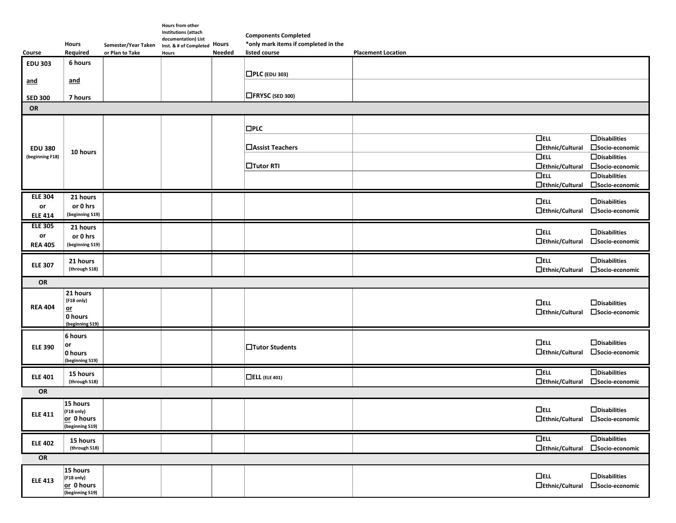| Course                            | <b>Hours</b><br>Required    | Semester/Year Taken<br>or Plan to Take | Hours from other<br><b>Institutions (attach</b><br>documentation) List<br>Inst. & # of Completed Hours<br><b>Hours</b> | <b>Needed</b> | <b>Components Completed</b><br>*only mark items if completed in the<br>listed course | <b>Placement Location</b>            |                                                         |
|-----------------------------------|-----------------------------|----------------------------------------|------------------------------------------------------------------------------------------------------------------------|---------------|--------------------------------------------------------------------------------------|--------------------------------------|---------------------------------------------------------|
| <b>EDU 303</b>                    | 6 hours                     |                                        |                                                                                                                        |               |                                                                                      |                                      |                                                         |
| <u>and</u>                        | <u>and</u>                  |                                        |                                                                                                                        |               | $\Box$ PLC (EDU 303)                                                                 |                                      |                                                         |
| <b>SED 300</b>                    | 7 hours                     |                                        |                                                                                                                        |               | $\Box$ FRYSC (SED 300)                                                               |                                      |                                                         |
| OR                                |                             |                                        |                                                                                                                        |               |                                                                                      |                                      |                                                         |
|                                   |                             |                                        |                                                                                                                        |               |                                                                                      |                                      |                                                         |
|                                   |                             |                                        |                                                                                                                        |               | $\square$ PLC                                                                        |                                      |                                                         |
|                                   |                             |                                        |                                                                                                                        |               |                                                                                      | $\Box$ ELL                           | $\Box$ Disabilities                                     |
| <b>EDU 380</b><br>(beginning F18) | 10 hours                    |                                        |                                                                                                                        |               | □ Assist Teachers                                                                    | $\Box$ Ethnic/Cultural<br>$\Box$ ELL | □Socio-economic<br>$\Box$ Disabilities                  |
|                                   |                             |                                        |                                                                                                                        |               | <b>Tutor RTI</b>                                                                     | $\Box$ Ethnic/Cultural               | □Socio-economic                                         |
|                                   |                             |                                        |                                                                                                                        |               |                                                                                      | $\Box$ ELL                           | $\Box$ Disabilities                                     |
|                                   |                             |                                        |                                                                                                                        |               |                                                                                      | $\Box$ Ethnic/Cultural               | □Socio-economic                                         |
| <b>ELE 304</b>                    | 21 hours                    |                                        |                                                                                                                        |               |                                                                                      | $\Box$ ELL                           | $\Box$ Disabilities                                     |
| or                                | or 0 hrs                    |                                        |                                                                                                                        |               |                                                                                      | $\Box$ Ethnic/Cultural               | □Socio-economic                                         |
| <b>ELE 414</b>                    | (beginning S19)             |                                        |                                                                                                                        |               |                                                                                      |                                      |                                                         |
| <b>ELE 305</b>                    | 21 hours                    |                                        |                                                                                                                        |               |                                                                                      | $\Box$ ELL                           | $\Box$ Disabilities                                     |
| or<br><b>REA 405</b>              | or 0 hrs<br>(beginning S19) |                                        |                                                                                                                        |               |                                                                                      | $\Box$ Ethnic/Cultural               | □Socio-economic                                         |
|                                   |                             |                                        |                                                                                                                        |               |                                                                                      |                                      |                                                         |
| <b>ELE 307</b>                    | 21 hours                    |                                        |                                                                                                                        |               |                                                                                      | $\Box$ ELL                           | $\Box$ Disabilities                                     |
|                                   | (through S18)               |                                        |                                                                                                                        |               |                                                                                      | $\Box$ Ethnic/Cultural               | □Socio-economic                                         |
| OR                                |                             |                                        |                                                                                                                        |               |                                                                                      |                                      |                                                         |
|                                   | 21 hours<br>(F18 only)      |                                        |                                                                                                                        |               |                                                                                      |                                      |                                                         |
| <b>REA 404</b>                    | or                          |                                        |                                                                                                                        |               |                                                                                      | $\Box$ ELL                           | $\Box$ Disabilities<br>□Ethnic/Cultural □Socio-economic |
|                                   | 0 hours                     |                                        |                                                                                                                        |               |                                                                                      |                                      |                                                         |
|                                   | (beginning S19)             |                                        |                                                                                                                        |               |                                                                                      |                                      |                                                         |
|                                   | 6 hours<br>or               |                                        |                                                                                                                        |               |                                                                                      | $\Box$ ELL                           | $\Box$ Disabilities                                     |
| <b>ELE 390</b>                    | 0 hours                     |                                        |                                                                                                                        |               | □Tutor Students                                                                      | $\Box$ Ethnic/Cultural               | □Socio-economic                                         |
|                                   | (beginning S19)             |                                        |                                                                                                                        |               |                                                                                      |                                      |                                                         |
| <b>ELE 401</b>                    | 15 hours                    |                                        |                                                                                                                        |               | $\Box$ ELL (ELE 401)                                                                 | $\Box$ ELL                           | $\Box$ Disabilities                                     |
|                                   | (through S18)               |                                        |                                                                                                                        |               |                                                                                      | $\Box$ Ethnic/Cultural               | □Socio-economic                                         |
| OR                                |                             |                                        |                                                                                                                        |               |                                                                                      |                                      |                                                         |
|                                   | 15 hours<br>(F18 only)      |                                        |                                                                                                                        |               |                                                                                      | $\Box$ ELL                           | $\Box$ Disabilities                                     |
| <b>ELE 411</b>                    | <u>or</u> 0 hours           |                                        |                                                                                                                        |               |                                                                                      | $\Box$ Ethnic/Cultural               | □Socio-economic                                         |
|                                   | (beginning S19)             |                                        |                                                                                                                        |               |                                                                                      |                                      |                                                         |
| <b>ELE 402</b>                    | 15 hours                    |                                        |                                                                                                                        |               |                                                                                      | $\Box$ ELL                           | $\Box$ Disabilities                                     |
|                                   | (through S18)               |                                        |                                                                                                                        |               |                                                                                      | $\Box$ Ethnic/Cultural               | □Socio-economic                                         |
| OR                                |                             |                                        |                                                                                                                        |               |                                                                                      |                                      |                                                         |
|                                   | 15 hours<br>(F18 only)      |                                        |                                                                                                                        |               |                                                                                      | $\Box$ ELL                           | $\Box$ Disabilities                                     |
| <b>ELE 413</b>                    | $or$ 0 hours                |                                        |                                                                                                                        |               |                                                                                      | $\Box$ Ethnic/Cultural               | □Socio-economic                                         |
|                                   | (beginning S19)             |                                        |                                                                                                                        |               |                                                                                      |                                      |                                                         |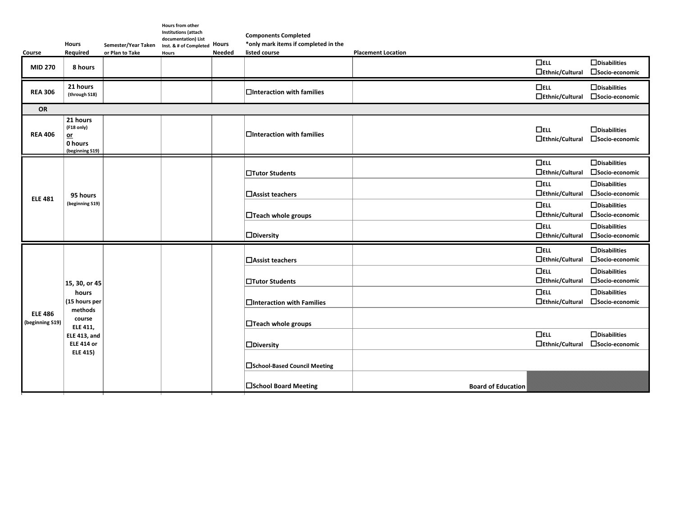| <b>Course</b>                     | <b>Hours</b><br>Required                                                                                                                                | Semester/Year Taken<br>or Plan to Take | <b>Hours from other</b><br>Institutions (attach<br>documentation) List<br>Inst. & # of Completed Hours<br>Hours | <b>Needed</b> | <b>Components Completed</b><br>*only mark items if completed in the<br>listed course | <b>Placement Location</b> |                                      |                                        |
|-----------------------------------|---------------------------------------------------------------------------------------------------------------------------------------------------------|----------------------------------------|-----------------------------------------------------------------------------------------------------------------|---------------|--------------------------------------------------------------------------------------|---------------------------|--------------------------------------|----------------------------------------|
| <b>MID 270</b>                    | 8 hours                                                                                                                                                 |                                        |                                                                                                                 |               |                                                                                      |                           | $\Box$ ELL<br>$\Box$ Ethnic/Cultural | $\Box$ Disabilities<br>□Socio-economic |
| <b>REA 306</b>                    | 21 hours<br>(through S18)                                                                                                                               |                                        |                                                                                                                 |               | $\Box$ Interaction with families                                                     |                           | $\Box$ ELL<br>$\Box$ Ethnic/Cultural | $\Box$ Disabilities<br>□Socio-economic |
| OR                                |                                                                                                                                                         |                                        |                                                                                                                 |               |                                                                                      |                           |                                      |                                        |
| <b>REA 406</b>                    | 21 hours<br>(F18 only)<br>$or$<br>0 hours<br>(beginning S19)                                                                                            |                                        |                                                                                                                 |               | $\Box$ Interaction with families                                                     |                           | $\Box$ ELL<br>□Ethnic/Cultural       | $\Box$ Disabilities<br>□Socio-economic |
|                                   | 95 hours<br>(beginning S19)                                                                                                                             |                                        |                                                                                                                 |               | <b>□Tutor Students</b>                                                               |                           | $\Box$ ELL<br>□Ethnic/Cultural       | $\Box$ Disabilities<br>□Socio-economic |
| <b>ELE 481</b>                    |                                                                                                                                                         |                                        |                                                                                                                 |               | $\Box$ Assist teachers                                                               |                           | $\Box$ ELL<br>□Ethnic/Cultural       | $\Box$ Disabilities<br>□Socio-economic |
|                                   |                                                                                                                                                         |                                        |                                                                                                                 |               | $\Box$ Teach whole groups                                                            |                           | $\Box$ ELL<br>□Ethnic/Cultural       | $\Box$ Disabilities<br>□Socio-economic |
|                                   |                                                                                                                                                         |                                        |                                                                                                                 |               | $\Box$ Diversity                                                                     |                           | $\Box$ ELL<br>$\Box$ Ethnic/Cultural | $\Box$ Disabilities<br>□Socio-economic |
|                                   | $\vert$ 15, 30, or 45 $\vert$<br>hours<br>(15 hours per<br>methods<br>course<br>ELE 411,<br><b>ELE 413, and</b><br><b>ELE 414 or</b><br><b>ELE 415)</b> |                                        |                                                                                                                 |               | <b>□Assist teachers</b>                                                              |                           | $\Box$ ELL<br>□Ethnic/Cultural       | $\Box$ Disabilities<br>□Socio-economic |
|                                   |                                                                                                                                                         |                                        |                                                                                                                 |               | □Tutor Students                                                                      |                           | $\Box$ ELL<br>$\Box$ Ethnic/Cultural | $\Box$ Disabilities<br>□Socio-economic |
|                                   |                                                                                                                                                         |                                        |                                                                                                                 |               | $\Box$ Interaction with Families                                                     |                           | $\Box$ ELL<br>$\Box$ Ethnic/Cultural | $\Box$ Disabilities<br>□Socio-economic |
| <b>ELE 486</b><br>(beginning S19) |                                                                                                                                                         |                                        |                                                                                                                 |               | $\Box$ Teach whole groups                                                            |                           |                                      |                                        |
|                                   |                                                                                                                                                         |                                        |                                                                                                                 |               | $\Box$ Diversity                                                                     |                           | $\Box$ ELL<br>$\Box$ Ethnic/Cultural | $\Box$ Disabilities<br>□Socio-economic |
|                                   |                                                                                                                                                         |                                        |                                                                                                                 |               | <b>□School-Based Council Meeting</b>                                                 |                           |                                      |                                        |
|                                   |                                                                                                                                                         |                                        |                                                                                                                 |               | <b>□School Board Meeting</b>                                                         | <b>Board of Education</b> |                                      |                                        |